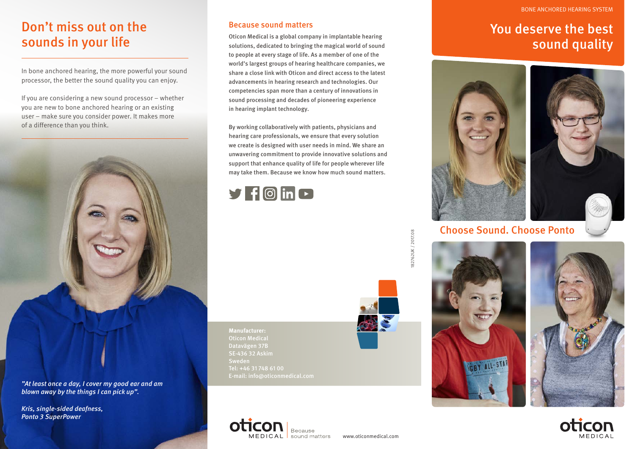#### BONE ANCHORED HEARING SYSTEM

## Don't miss out on the sounds in your life

In bone anchored hearing, the more powerful your sound processor, the better the sound quality you can enjoy.

If you are considering a new sound processor – whether you are new to bone anchored hearing or an existing user – make sure you consider power. It makes more of a difference than you think.



*"At least once a day, I cover my good ear and am blown away by the things I can pick up".*

*Kris, single-sided deafness, Ponto 3 SuperPower* 

### Because sound matters

Oticon Medical is a global company in implantable hearing solutions, dedicated to bringing the magical world of sound to people at every stage of life. As a member of one of the world's largest groups of hearing healthcare companies, we share a close link with Oticon and direct access to the latest advancements in hearing research and technologies. Our competencies span more than a century of innovations in sound processing and decades of pioneering experience in hearing implant technology.

By working collaboratively with patients, physicians and hearing care professionals, we ensure that every solution we create is designed with user needs in mind. We share an unwavering commitment to provide innovative solutions and support that enhance quality of life for people wherever life may take them. Because we know how much sound matters.



You deserve the best sound quality



Choose Sound. Choose Ponto





**Manufacturer:** Oticon Medical Datavägen 37B SE-436 32 Askim Sweden Tel: +46 31 748 61 00 E-mail: info@oticonmedical.com



82762UK / 2017.08 182762UK / 2017.08



www.oticonmedical.com